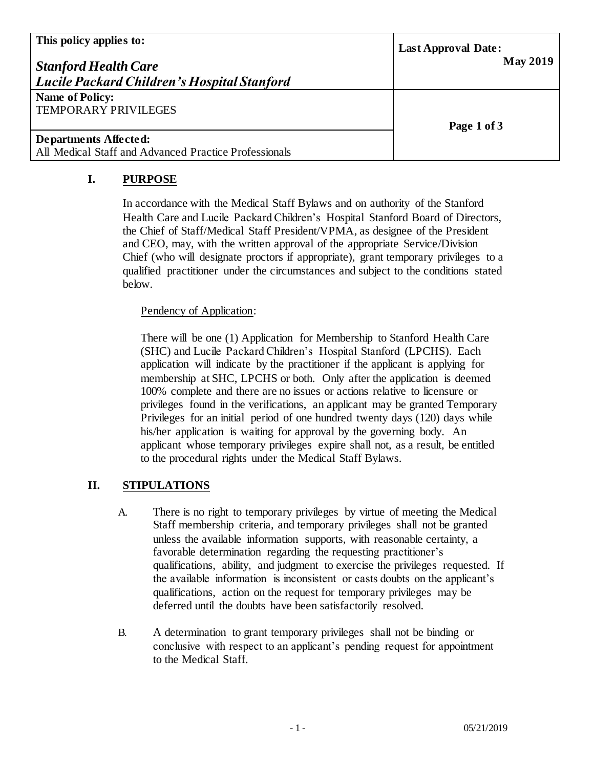| This policy applies to:<br><b>Stanford Health Care</b><br><b>Lucile Packard Children's Hospital Stanford</b> | <b>Last Approval Date:</b><br><b>May 2019</b> |
|--------------------------------------------------------------------------------------------------------------|-----------------------------------------------|
| <b>Name of Policy:</b><br><b>TEMPORARY PRIVILEGES</b>                                                        | Page 1 of 3                                   |
| Departments Affected:<br>All Medical Staff and Advanced Practice Professionals                               |                                               |

## **I. PURPOSE**

In accordance with the Medical Staff Bylaws and on authority of the Stanford Health Care and Lucile Packard Children's Hospital Stanford Board of Directors, the Chief of Staff/Medical Staff President/VPMA, as designee of the President and CEO, may, with the written approval of the appropriate Service/Division Chief (who will designate proctors if appropriate), grant temporary privileges to a qualified practitioner under the circumstances and subject to the conditions stated below.

## Pendency of Application:

There will be one (1) Application for Membership to Stanford Health Care (SHC) and Lucile Packard Children's Hospital Stanford (LPCHS). Each application will indicate by the practitioner if the applicant is applying for membership at SHC, LPCHS or both. Only after the application is deemed 100% complete and there are no issues or actions relative to licensure or privileges found in the verifications, an applicant may be granted Temporary Privileges for an initial period of one hundred twenty days (120) days while his/her application is waiting for approval by the governing body. An applicant whose temporary privileges expire shall not, as a result, be entitled to the procedural rights under the Medical Staff Bylaws.

## **II. STIPULATIONS**

- A. There is no right to temporary privileges by virtue of meeting the Medical Staff membership criteria, and temporary privileges shall not be granted unless the available information supports, with reasonable certainty, a favorable determination regarding the requesting practitioner's qualifications, ability, and judgment to exercise the privileges requested. If the available information is inconsistent or casts doubts on the applicant's qualifications, action on the request for temporary privileges may be deferred until the doubts have been satisfactorily resolved.
- B. A determination to grant temporary privileges shall not be binding or conclusive with respect to an applicant's pending request for appointment to the Medical Staff.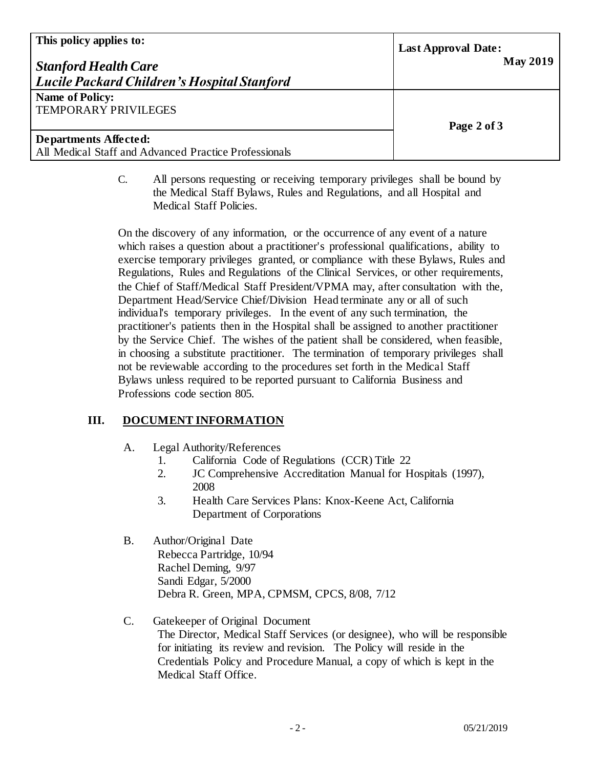| This policy applies to:<br><b>Stanford Health Care</b><br><b>Lucile Packard Children's Hospital Stanford</b> | <b>Last Approval Date:</b><br><b>May 2019</b> |
|--------------------------------------------------------------------------------------------------------------|-----------------------------------------------|
| <b>Name of Policy:</b><br>TEMPORARY PRIVILEGES                                                               | Page 2 of 3                                   |
| <b>Departments Affected:</b><br>All Medical Staff and Advanced Practice Professionals                        |                                               |

C. All persons requesting or receiving temporary privileges shall be bound by the Medical Staff Bylaws, Rules and Regulations, and all Hospital and Medical Staff Policies.

On the discovery of any information, or the occurrence of any event of a nature which raises a question about a practitioner's professional qualifications, ability to exercise temporary privileges granted, or compliance with these Bylaws, Rules and Regulations, Rules and Regulations of the Clinical Services, or other requirements, the Chief of Staff/Medical Staff President/VPMA may, after consultation with the, Department Head/Service Chief/Division Head terminate any or all of such individual's temporary privileges. In the event of any such termination, the practitioner's patients then in the Hospital shall be assigned to another practitioner by the Service Chief. The wishes of the patient shall be considered, when feasible, in choosing a substitute practitioner. The termination of temporary privileges shall not be reviewable according to the procedures set forth in the Medical Staff Bylaws unless required to be reported pursuant to California Business and Professions code section 805.

## **III. DOCUMENT INFORMATION**

- A. Legal Authority/References
	- 1. California Code of Regulations (CCR) Title 22
	- 2. JC Comprehensive Accreditation Manual for Hospitals (1997), 2008
	- 3. Health Care Services Plans: Knox-Keene Act, California Department of Corporations
- B. Author/Original Date Rebecca Partridge, 10/94 Rachel Deming, 9/97 Sandi Edgar, 5/2000 Debra R. Green, MPA, CPMSM, CPCS, 8/08, 7/12
- C. Gatekeeper of Original Document The Director, Medical Staff Services (or designee), who will be responsible for initiating its review and revision. The Policy will reside in the Credentials Policy and Procedure Manual, a copy of which is kept in the Medical Staff Office.